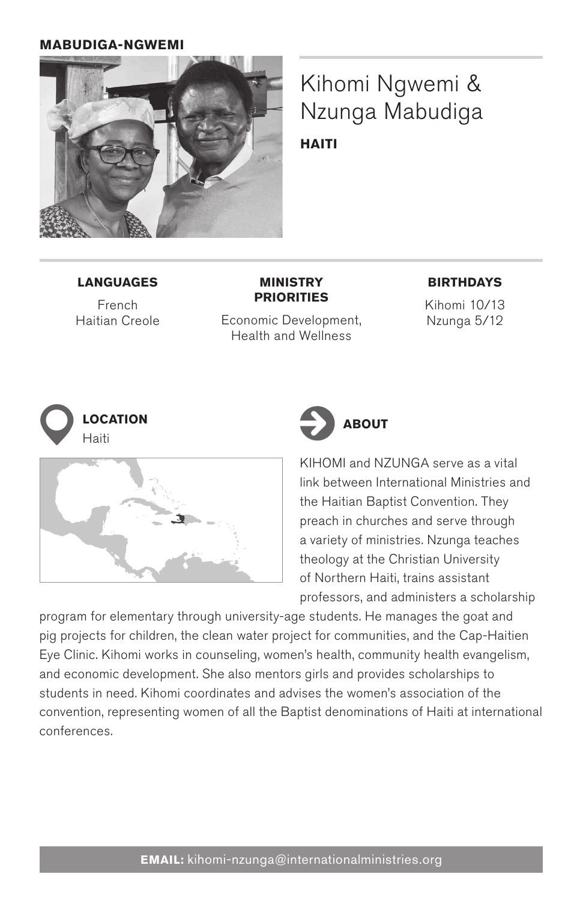## **mabudiga-ngwemi**



Kihomi Ngwemi & Nzunga Mabudiga **Haiti**

### **Languages**

French Haitian Creole

**Priorities** Economic Development, Health and Wellness

**Ministry** 

#### **Birthdays**

Kihomi 10/13 Nzunga 5/12







KIHOMI and NZUNGA serve as a vital link between International Ministries and the Haitian Baptist Convention. They preach in churches and serve through a variety of ministries. Nzunga teaches theology at the Christian University of Northern Haiti, trains assistant professors, and administers a scholarship

program for elementary through university-age students. He manages the goat and pig projects for children, the clean water project for communities, and the Cap-Haitien Eye Clinic. Kihomi works in counseling, women's health, community health evangelism, and economic development. She also mentors girls and provides scholarships to students in need. Kihomi coordinates and advises the women's association of the convention, representing women of all the Baptist denominations of Haiti at international conferences.